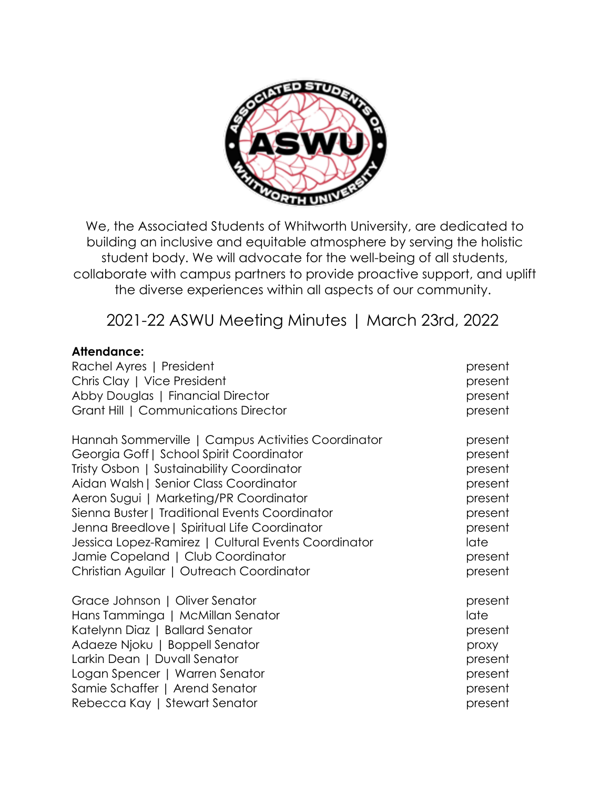

We, the Associated Students of Whitworth University, are dedicated to building an inclusive and equitable atmosphere by serving the holistic student body. We will advocate for the well-being of all students, collaborate with campus partners to provide proactive support, and uplift the diverse experiences within all aspects of our community.

2021-22 ASWU Meeting Minutes | March 23rd, 2022

# **Attendance:**

| Rachel Ayres   President                            | present |
|-----------------------------------------------------|---------|
| Chris Clay   Vice President                         | present |
| Abby Douglas   Financial Director                   | present |
| Grant Hill   Communications Director                | present |
| Hannah Sommerville   Campus Activities Coordinator  | present |
| Georgia Goff   School Spirit Coordinator            | present |
| Tristy Osbon   Sustainability Coordinator           | present |
| Aidan Walsh   Senior Class Coordinator              | present |
| Aeron Sugui   Marketing/PR Coordinator              | present |
| Sienna Buster   Traditional Events Coordinator      | present |
| Jenna Breedlove   Spiritual Life Coordinator        | present |
| Jessica Lopez-Ramirez   Cultural Events Coordinator | late    |
| Jamie Copeland   Club Coordinator                   | present |
| Christian Aguilar   Outreach Coordinator            | present |
| Grace Johnson   Oliver Senator                      | present |
| Hans Tamminga   McMillan Senator                    | late    |
| Katelynn Diaz   Ballard Senator                     | present |
| Adaeze Njoku   Boppell Senator                      | proxy   |
| Larkin Dean   Duvall Senator                        | present |
| Logan Spencer   Warren Senator                      | present |
| Samie Schaffer   Arend Senator                      | present |
| Rebecca Kay   Stewart Senator                       | present |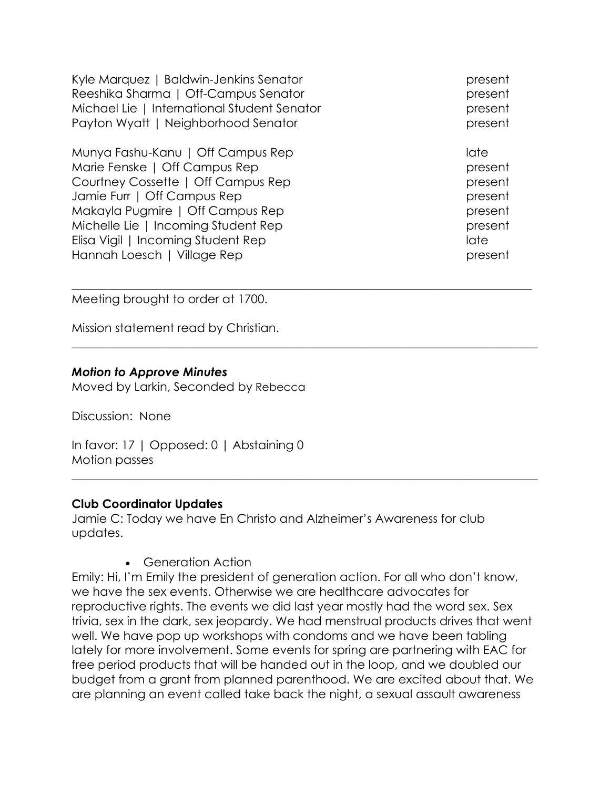Kyle Marquez | Baldwin-Jenkins Senator present present Reeshika Sharma | Off-Campus Senator present Michael Lie | International Student Senator **present** Payton Wyatt | Neighborhood Senator **present** present

Munya Fashu-Kanu | Off Campus Rep late late late Marie Fenske | Off Campus Rep present Courtney Cossette | Off Campus Rep present Jamie Furr | Off Campus Rep present Makayla Pugmire | Off Campus Rep present Michelle Lie | Incoming Student Rep present Elisa Vigil | Incoming Student Rep late late late late Hannah Loesch | Village Rep present present present

Meeting brought to order at 1700.

Mission statement read by Christian.

## *Motion to Approve Minutes*

Moved by Larkin, Seconded by Rebecca

Discussion: None

In favor: 17 | Opposed: 0 | Abstaining 0 Motion passes

#### **Club Coordinator Updates**

Jamie C: Today we have En Christo and Alzheimer's Awareness for club updates.

 $\_$  , and the set of the set of the set of the set of the set of the set of the set of the set of the set of the set of the set of the set of the set of the set of the set of the set of the set of the set of the set of th

 $\_$  , and the set of the set of the set of the set of the set of the set of the set of the set of the set of the set of the set of the set of the set of the set of the set of the set of the set of the set of the set of th

 $\_$  , and the set of the set of the set of the set of the set of the set of the set of the set of the set of the set of the set of the set of the set of the set of the set of the set of the set of the set of the set of th

• Generation Action

Emily: Hi, I'm Emily the president of generation action. For all who don't know, we have the sex events. Otherwise we are healthcare advocates for reproductive rights. The events we did last year mostly had the word sex. Sex trivia, sex in the dark, sex jeopardy. We had menstrual products drives that went well. We have pop up workshops with condoms and we have been tabling lately for more involvement. Some events for spring are partnering with EAC for free period products that will be handed out in the loop, and we doubled our budget from a grant from planned parenthood. We are excited about that. We are planning an event called take back the night, a sexual assault awareness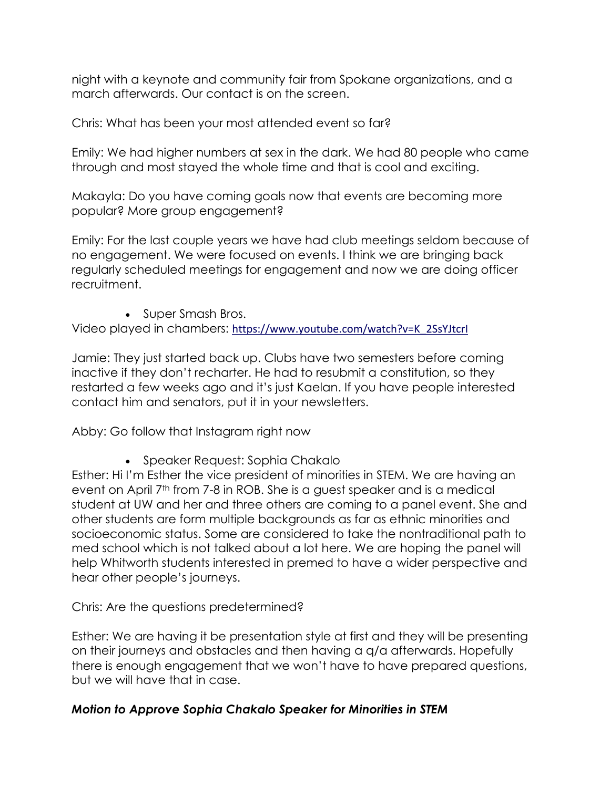night with a keynote and community fair from Spokane organizations, and a march afterwards. Our contact is on the screen.

Chris: What has been your most attended event so far?

Emily: We had higher numbers at sex in the dark. We had 80 people who came through and most stayed the whole time and that is cool and exciting.

Makayla: Do you have coming goals now that events are becoming more popular? More group engagement?

Emily: For the last couple years we have had club meetings seldom because of no engagement. We were focused on events. I think we are bringing back regularly scheduled meetings for engagement and now we are doing officer recruitment.

• Super Smash Bros.

Video played in chambers: https://www.youtube.com/watch?v=K\_2SsYJtcrI

Jamie: They just started back up. Clubs have two semesters before coming inactive if they don't recharter. He had to resubmit a constitution, so they restarted a few weeks ago and it's just Kaelan. If you have people interested contact him and senators, put it in your newsletters.

Abby: Go follow that Instagram right now

• Speaker Request: Sophia Chakalo

Esther: Hi I'm Esther the vice president of minorities in STEM. We are having an event on April 7<sup>th</sup> from 7-8 in ROB. She is a guest speaker and is a medical student at UW and her and three others are coming to a panel event. She and other students are form multiple backgrounds as far as ethnic minorities and socioeconomic status. Some are considered to take the nontraditional path to med school which is not talked about a lot here. We are hoping the panel will help Whitworth students interested in premed to have a wider perspective and hear other people's journeys.

Chris: Are the questions predetermined?

Esther: We are having it be presentation style at first and they will be presenting on their journeys and obstacles and then having a q/a afterwards. Hopefully there is enough engagement that we won't have to have prepared questions, but we will have that in case.

# *Motion to Approve Sophia Chakalo Speaker for Minorities in STEM*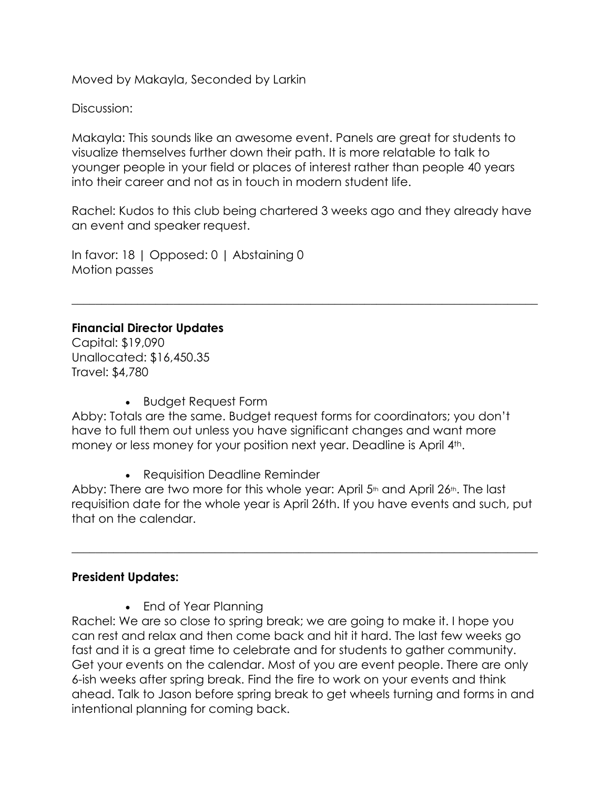Moved by Makayla, Seconded by Larkin

Discussion:

Makayla: This sounds like an awesome event. Panels are great for students to visualize themselves further down their path. It is more relatable to talk to younger people in your field or places of interest rather than people 40 years into their career and not as in touch in modern student life.

Rachel: Kudos to this club being chartered 3 weeks ago and they already have an event and speaker request.

 $\_$  , and the set of the set of the set of the set of the set of the set of the set of the set of the set of the set of the set of the set of the set of the set of the set of the set of the set of the set of the set of th

In favor: 18 | Opposed: 0 | Abstaining 0 Motion passes

# **Financial Director Updates**

Capital: \$19,090 Unallocated: \$16,450.35 Travel: \$4,780

• Budget Request Form

Abby: Totals are the same. Budget request forms for coordinators; you don't have to full them out unless you have significant changes and want more money or less money for your position next year. Deadline is April 4<sup>th</sup>.

• Requisition Deadline Reminder

Abby: There are two more for this whole year: April 5<sup>th</sup> and April 26<sup>th</sup>. The last requisition date for the whole year is April 26th. If you have events and such, put that on the calendar.

 $\_$  , and the set of the set of the set of the set of the set of the set of the set of the set of the set of the set of the set of the set of the set of the set of the set of the set of the set of the set of the set of th

# **President Updates:**

• End of Year Planning

Rachel: We are so close to spring break; we are going to make it. I hope you can rest and relax and then come back and hit it hard. The last few weeks go fast and it is a great time to celebrate and for students to gather community. Get your events on the calendar. Most of you are event people. There are only 6-ish weeks after spring break. Find the fire to work on your events and think ahead. Talk to Jason before spring break to get wheels turning and forms in and intentional planning for coming back.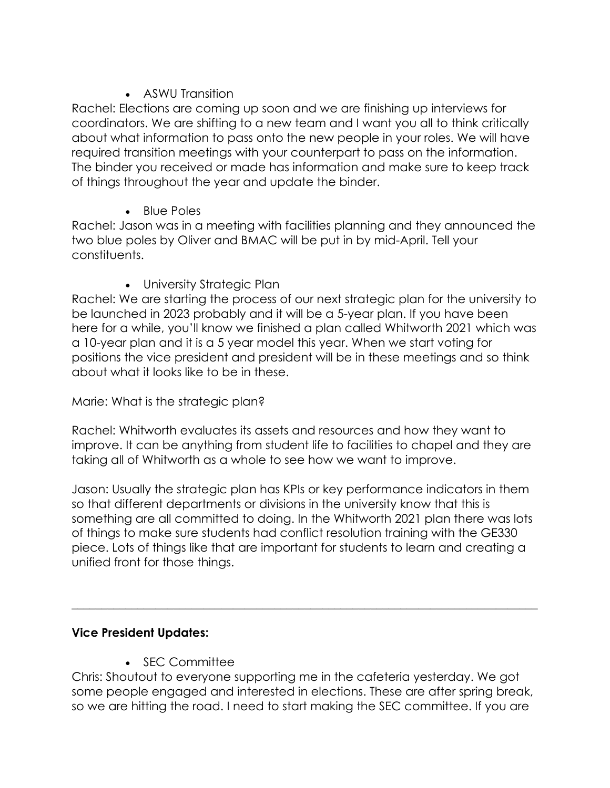# • ASWU Transition

Rachel: Elections are coming up soon and we are finishing up interviews for coordinators. We are shifting to a new team and I want you all to think critically about what information to pass onto the new people in your roles. We will have required transition meetings with your counterpart to pass on the information. The binder you received or made has information and make sure to keep track of things throughout the year and update the binder.

• Blue Poles

Rachel: Jason was in a meeting with facilities planning and they announced the two blue poles by Oliver and BMAC will be put in by mid-April. Tell your constituents.

• University Strategic Plan

Rachel: We are starting the process of our next strategic plan for the university to be launched in 2023 probably and it will be a 5-year plan. If you have been here for a while, you'll know we finished a plan called Whitworth 2021 which was a 10-year plan and it is a 5 year model this year. When we start voting for positions the vice president and president will be in these meetings and so think about what it looks like to be in these.

# Marie: What is the strategic plan?

Rachel: Whitworth evaluates its assets and resources and how they want to improve. It can be anything from student life to facilities to chapel and they are taking all of Whitworth as a whole to see how we want to improve.

Jason: Usually the strategic plan has KPIs or key performance indicators in them so that different departments or divisions in the university know that this is something are all committed to doing. In the Whitworth 2021 plan there was lots of things to make sure students had conflict resolution training with the GE330 piece. Lots of things like that are important for students to learn and creating a unified front for those things.

\_\_\_\_\_\_\_\_\_\_\_\_\_\_\_\_\_\_\_\_\_\_\_\_\_\_\_\_\_\_\_\_\_\_\_\_\_\_\_\_\_\_\_\_\_\_\_\_\_\_\_\_\_\_\_\_\_\_\_\_\_\_\_\_\_\_\_\_\_\_\_\_\_\_\_\_\_\_

# **Vice President Updates:**

• SEC Committee

Chris: Shoutout to everyone supporting me in the cafeteria yesterday. We got some people engaged and interested in elections. These are after spring break, so we are hitting the road. I need to start making the SEC committee. If you are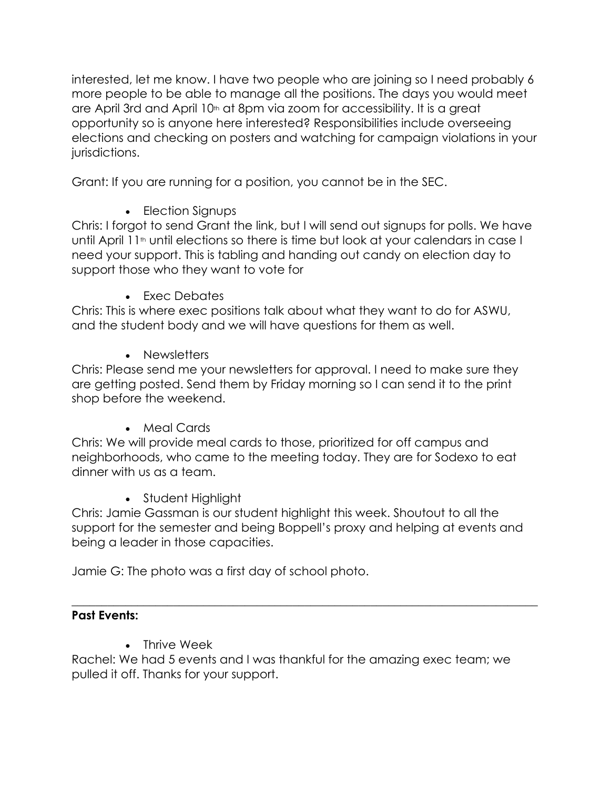interested, let me know. I have two people who are joining so I need probably 6 more people to be able to manage all the positions. The days you would meet are April 3rd and April 10<sup>th</sup> at 8pm via zoom for accessibility. It is a great opportunity so is anyone here interested? Responsibilities include overseeing elections and checking on posters and watching for campaign violations in your jurisdictions.

Grant: If you are running for a position, you cannot be in the SEC.

• Election Signups

Chris: I forgot to send Grant the link, but I will send out signups for polls. We have until April 11<sup>th</sup> until elections so there is time but look at your calendars in case I need your support. This is tabling and handing out candy on election day to support those who they want to vote for

• Exec Debates

Chris: This is where exec positions talk about what they want to do for ASWU, and the student body and we will have questions for them as well.

• Newsletters

Chris: Please send me your newsletters for approval. I need to make sure they are getting posted. Send them by Friday morning so I can send it to the print shop before the weekend.

• Meal Cards

Chris: We will provide meal cards to those, prioritized for off campus and neighborhoods, who came to the meeting today. They are for Sodexo to eat dinner with us as a team.

• Student Highlight

Chris: Jamie Gassman is our student highlight this week. Shoutout to all the support for the semester and being Boppell's proxy and helping at events and being a leader in those capacities.

Jamie G: The photo was a first day of school photo.

### $\_$  , and the set of the set of the set of the set of the set of the set of the set of the set of the set of the set of the set of the set of the set of the set of the set of the set of the set of the set of the set of th **Past Events:**

• Thrive Week

Rachel: We had 5 events and I was thankful for the amazing exec team; we pulled it off. Thanks for your support.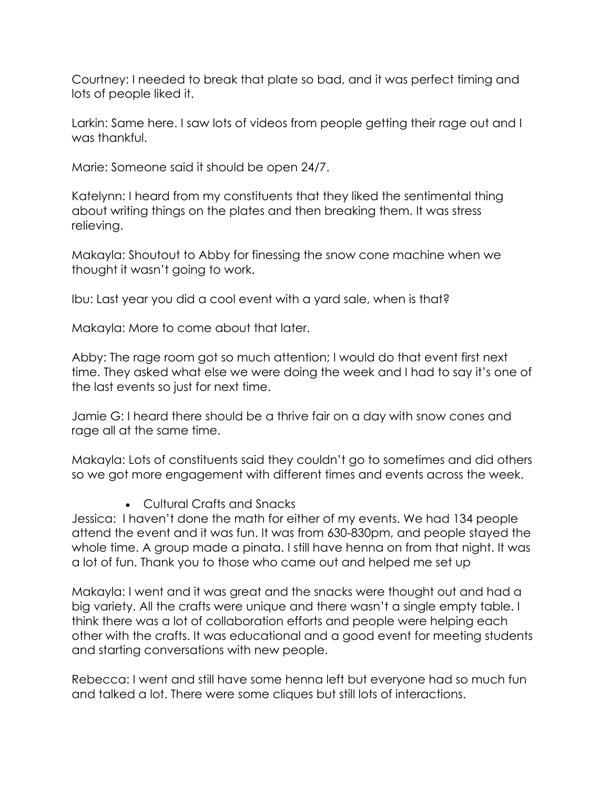Courtney: I needed to break that plate so bad, and it was perfect timing and lots of people liked it.

Larkin: Same here. I saw lots of videos from people getting their rage out and I was thankful.

Marie: Someone said it should be open 24/7.

Katelynn: I heard from my constituents that they liked the sentimental thing about writing things on the plates and then breaking them. It was stress relieving.

Makayla: Shoutout to Abby for finessing the snow cone machine when we thought it wasn't going to work.

Ibu: Last year you did a cool event with a yard sale, when is that?

Makayla: More to come about that later.

Abby: The rage room got so much attention; I would do that event first next time. They asked what else we were doing the week and I had to say it's one of the last events so just for next time.

Jamie G: I heard there should be a thrive fair on a day with snow cones and rage all at the same time.

Makayla: Lots of constituents said they couldn't go to sometimes and did others so we got more engagement with different times and events across the week.

• Cultural Crafts and Snacks

Jessica: I haven't done the math for either of my events. We had 134 people attend the event and it was fun. It was from 630-830pm, and people stayed the whole time. A group made a pinata. I still have henna on from that night. It was a lot of fun. Thank you to those who came out and helped me set up

Makayla: I went and it was great and the snacks were thought out and had a big variety. All the crafts were unique and there wasn't a single empty table. I think there was a lot of collaboration efforts and people were helping each other with the crafts. It was educational and a good event for meeting students and starting conversations with new people.

Rebecca: I went and still have some henna left but everyone had so much fun and talked a lot. There were some cliques but still lots of interactions.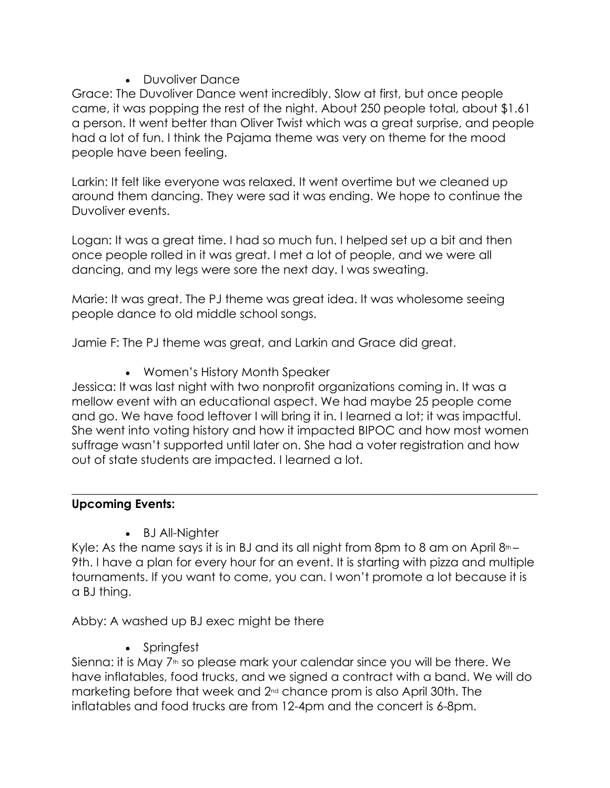# • Duvoliver Dance

Grace: The Duvoliver Dance went incredibly. Slow at first, but once people came, it was popping the rest of the night. About 250 people total, about \$1.61 a person. It went better than Oliver Twist which was a great surprise, and people had a lot of fun. I think the Pajama theme was very on theme for the mood people have been feeling.

Larkin: It felt like everyone was relaxed. It went overtime but we cleaned up around them dancing. They were sad it was ending. We hope to continue the Duvoliver events.

Logan: It was a great time. I had so much fun. I helped set up a bit and then once people rolled in it was great. I met a lot of people, and we were all dancing, and my legs were sore the next day. I was sweating.

Marie: It was great. The PJ theme was great idea. It was wholesome seeing people dance to old middle school songs.

Jamie F: The PJ theme was great, and Larkin and Grace did great.

• Women's History Month Speaker

Jessica: It was last night with two nonprofit organizations coming in. It was a mellow event with an educational aspect. We had maybe 25 people come and go. We have food leftover I will bring it in. I learned a lot; it was impactful. She went into voting history and how it impacted BIPOC and how most women suffrage wasn't supported until later on. She had a voter registration and how out of state students are impacted. I learned a lot.

 $\_$  , and the set of the set of the set of the set of the set of the set of the set of the set of the set of the set of the set of the set of the set of the set of the set of the set of the set of the set of the set of th

# **Upcoming Events:**

• BJ All-Nighter

Kyle: As the name says it is in BJ and its all night from 8pm to 8 am on April  $8<sup>th</sup>$ -9th. I have a plan for every hour for an event. It is starting with pizza and multiple tournaments. If you want to come, you can. I won't promote a lot because it is a BJ thing.

Abby: A washed up BJ exec might be there

• Springfest

Sienna: it is May 7<sup>th</sup> so please mark your calendar since you will be there. We have inflatables, food trucks, and we signed a contract with a band. We will do marketing before that week and  $2<sup>nd</sup>$  chance prom is also April 30th. The inflatables and food trucks are from 12-4pm and the concert is 6-8pm.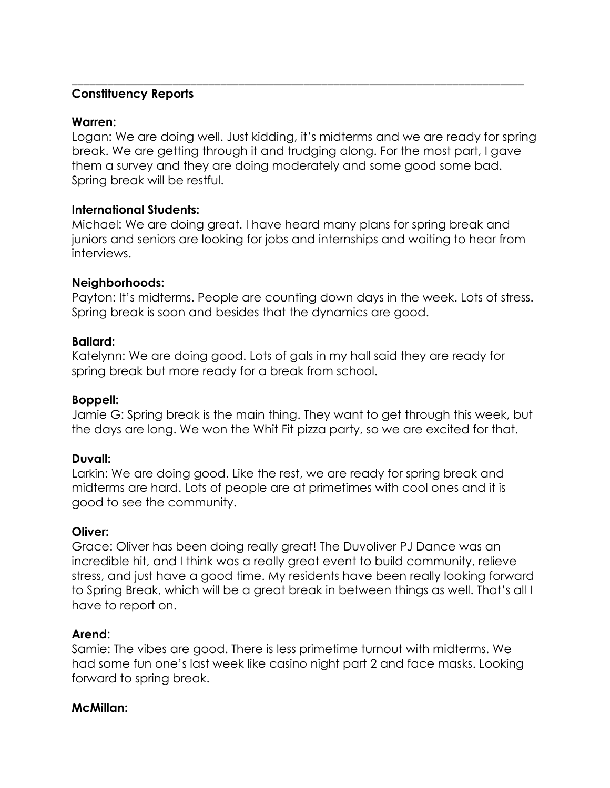## **Constituency Reports**

#### **Warren:**

Logan: We are doing well. Just kidding, it's midterms and we are ready for spring break. We are getting through it and trudging along. For the most part, I gave them a survey and they are doing moderately and some good some bad. Spring break will be restful.

\_\_\_\_\_\_\_\_\_\_\_\_\_\_\_\_\_\_\_\_\_\_\_\_\_\_\_\_\_\_\_\_\_\_\_\_\_\_\_\_\_\_\_\_\_\_\_\_\_\_\_\_\_\_\_\_\_\_\_\_\_\_\_\_\_\_\_\_\_\_\_\_\_\_\_\_

## **International Students:**

Michael: We are doing great. I have heard many plans for spring break and juniors and seniors are looking for jobs and internships and waiting to hear from interviews.

## **Neighborhoods:**

Payton: It's midterms. People are counting down days in the week. Lots of stress. Spring break is soon and besides that the dynamics are good.

## **Ballard:**

Katelynn: We are doing good. Lots of gals in my hall said they are ready for spring break but more ready for a break from school.

## **Boppell:**

Jamie G: Spring break is the main thing. They want to get through this week, but the days are long. We won the Whit Fit pizza party, so we are excited for that.

# **Duvall:**

Larkin: We are doing good. Like the rest, we are ready for spring break and midterms are hard. Lots of people are at primetimes with cool ones and it is good to see the community.

#### **Oliver:**

Grace: Oliver has been doing really great! The Duvoliver PJ Dance was an incredible hit, and I think was a really great event to build community, relieve stress, and just have a good time. My residents have been really looking forward to Spring Break, which will be a great break in between things as well. That's all I have to report on.

#### **Arend**:

Samie: The vibes are good. There is less primetime turnout with midterms. We had some fun one's last week like casino night part 2 and face masks. Looking forward to spring break.

#### **McMillan:**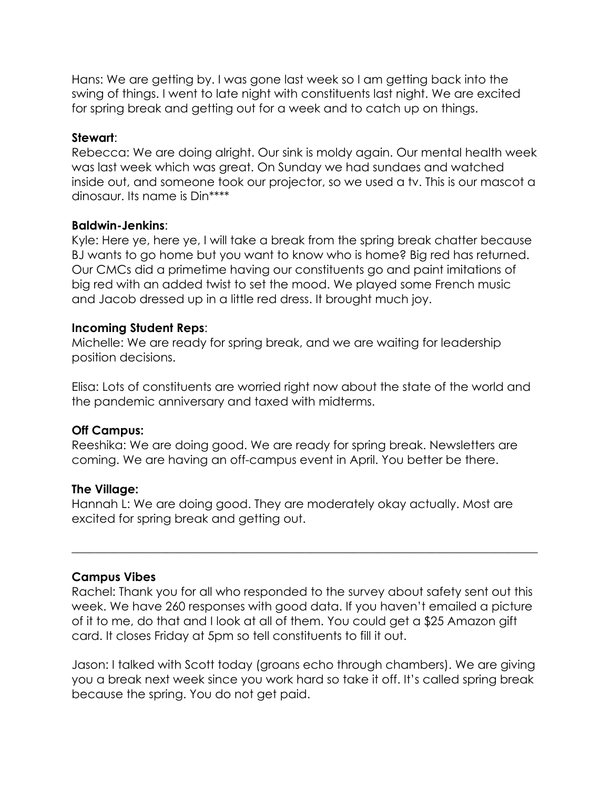Hans: We are getting by. I was gone last week so I am getting back into the swing of things. I went to late night with constituents last night. We are excited for spring break and getting out for a week and to catch up on things.

### **Stewart**:

Rebecca: We are doing alright. Our sink is moldy again. Our mental health week was last week which was great. On Sunday we had sundaes and watched inside out, and someone took our projector, so we used a tv. This is our mascot a dinosaur. Its name is Din\*\*\*\*

## **Baldwin-Jenkins**:

Kyle: Here ye, here ye, I will take a break from the spring break chatter because BJ wants to go home but you want to know who is home? Big red has returned. Our CMCs did a primetime having our constituents go and paint imitations of big red with an added twist to set the mood. We played some French music and Jacob dressed up in a little red dress. It brought much joy.

## **Incoming Student Reps**:

Michelle: We are ready for spring break, and we are waiting for leadership position decisions.

Elisa: Lots of constituents are worried right now about the state of the world and the pandemic anniversary and taxed with midterms.

# **Off Campus:**

Reeshika: We are doing good. We are ready for spring break. Newsletters are coming. We are having an off-campus event in April. You better be there.

#### **The Village:**

Hannah L: We are doing good. They are moderately okay actually. Most are excited for spring break and getting out.

# **Campus Vibes**

Rachel: Thank you for all who responded to the survey about safety sent out this week. We have 260 responses with good data. If you haven't emailed a picture of it to me, do that and I look at all of them. You could get a \$25 Amazon gift card. It closes Friday at 5pm so tell constituents to fill it out.

 $\_$  , and the set of the set of the set of the set of the set of the set of the set of the set of the set of the set of the set of the set of the set of the set of the set of the set of the set of the set of the set of th

Jason: I talked with Scott today (groans echo through chambers). We are giving you a break next week since you work hard so take it off. It's called spring break because the spring. You do not get paid.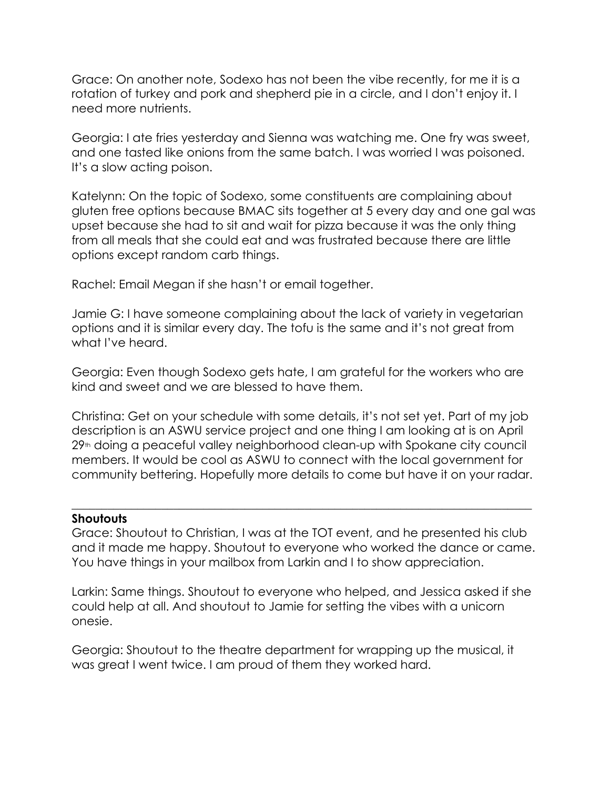Grace: On another note, Sodexo has not been the vibe recently, for me it is a rotation of turkey and pork and shepherd pie in a circle, and I don't enjoy it. I need more nutrients.

Georgia: I ate fries yesterday and Sienna was watching me. One fry was sweet, and one tasted like onions from the same batch. I was worried I was poisoned. It's a slow acting poison.

Katelynn: On the topic of Sodexo, some constituents are complaining about gluten free options because BMAC sits together at 5 every day and one gal was upset because she had to sit and wait for pizza because it was the only thing from all meals that she could eat and was frustrated because there are little options except random carb things.

Rachel: Email Megan if she hasn't or email together.

Jamie G: I have someone complaining about the lack of variety in vegetarian options and it is similar every day. The tofu is the same and it's not great from what I've heard.

Georgia: Even though Sodexo gets hate, I am grateful for the workers who are kind and sweet and we are blessed to have them.

Christina: Get on your schedule with some details, it's not set yet. Part of my job description is an ASWU service project and one thing I am looking at is on April 29<sup>th</sup> doing a peaceful valley neighborhood clean-up with Spokane city council members. It would be cool as ASWU to connect with the local government for community bettering. Hopefully more details to come but have it on your radar.

#### **Shoutouts**

Grace: Shoutout to Christian, I was at the TOT event, and he presented his club and it made me happy. Shoutout to everyone who worked the dance or came. You have things in your mailbox from Larkin and I to show appreciation.

 $\_$  , and the set of the set of the set of the set of the set of the set of the set of the set of the set of the set of the set of the set of the set of the set of the set of the set of the set of the set of the set of th

Larkin: Same things. Shoutout to everyone who helped, and Jessica asked if she could help at all. And shoutout to Jamie for setting the vibes with a unicorn onesie.

Georgia: Shoutout to the theatre department for wrapping up the musical, it was great I went twice. I am proud of them they worked hard.